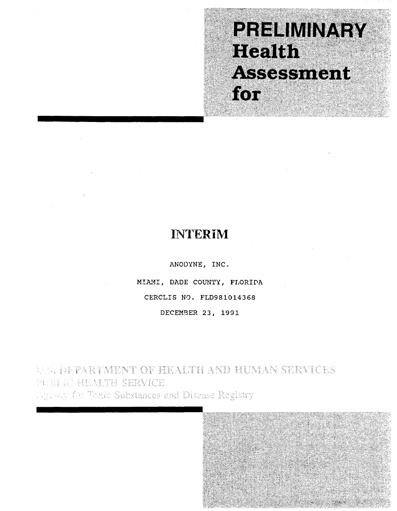# PRELIMINARY Health. Assessment for

## **INTERIM**

ANODYNE, INC. MIAMI, DADE COUNTY, FLORIDA CERCLIS NO. FLD981014368 DECEMBER 23, 1991

**MALDEPARTMENT OF HEALTH AND HUMAN SERVICES** WELRI HEALTH SERVICE Agency for Toxic Substances and Disease Registry

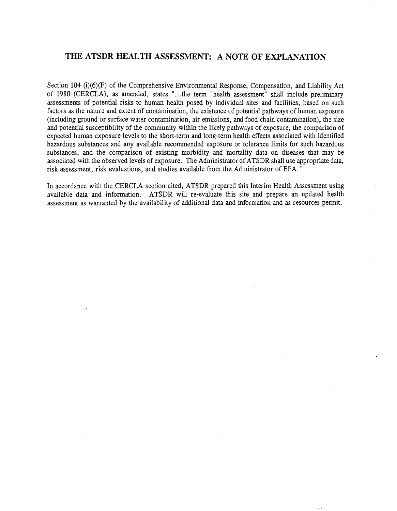### THE ATSDR HEALTH ASSESSMENT: A NOTE OF EXPLANATION

Section 104 (i)(6)(F) of the Comprehensive Environmental Response, Compensation, and Liability Act of 1980 (CERCLA), as amended, states "...the term "health assessment" shall include preliminary assessments of potential risks to human health posed by individual sites and facilities, based on such factors as the nature and extent of contamination, the existence of potential pathways of human exposure (including ground or surface water contamination, air emissions, and food chain contamination), the size and potential susceptibility of the community within the likely pathways of exposure, the comparison of expected human exposure levels to the short-term and long-term health effects associated with identified hazardous substances and any available recommended exposure or tolerance limits for such hazardous substances, and the comparison of existing morbidity and mortality data on diseases that may be associated with the observed levels of exposure. The Administrator of ATSDR shall use appropriate data, risk assessment, risk evaluations, and studies available from the Administrator of EPA."

In accordance with the CERCLA section cited, ATSDR prepared this Interim Health Assessment using available data and information. ATSDR will re-evaluate this site and prepare an updated health assessment as warranted by the availability of additional data and information and as resources permit.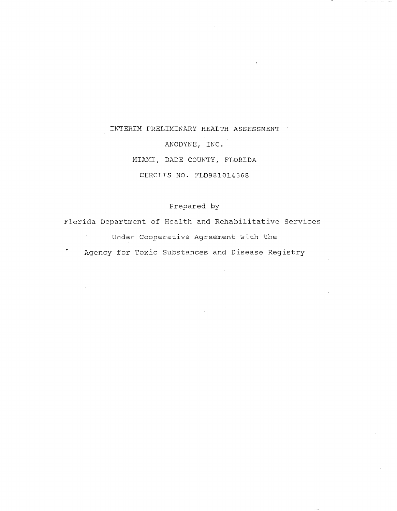## INTERIM PRELIMINARY HEALTH ASSESSMENT ANODYNE, INC. MIAMI, DADE COUNTY, FLORIDA CERCLIS NO. FLD981014368

### Prepared by

Florida Department of Health and Rehabilitative Services Under Cooperative Agreement with the Agency for Toxic Substances and Disease Registry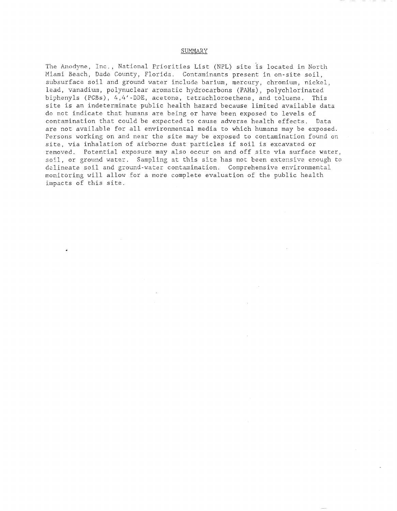### SUMMARY

The Anodyne, Inc., National Priorities List (NPL) site is located in North Miami Beach, Dade County, Florida. Contaminants present in on-site soil, subsurface soil and ground water include barium, mercury, chromium, nickel, lead, vanadiwn, polynuclear aromatic hydrocarbons (PAHs), polychlorinated biphenyls (PCBs), 4,4'\_DDE, acetone, tetrachloroethene, and toluene. This site is an indeterminate public health hazard because limited available data do net indicate that humans are being or have been exposed to levels of contamination that could be expected to cause adverse health effects. Data are not available for all environmental media to which humans may be exposed. Persons working on and near the site may be exposed to contamination found on site, via inhalation of airborne dust particles if soil is excavated or removed. Potential exposure may also occur on and off site via surface water, soil, or ground water. Sampling at this site has not been extensive enough to delineate soil and ground-water contamination. Comprehensive environmental monitoring will allow for a more complete evaluation of the public health impacts of this site.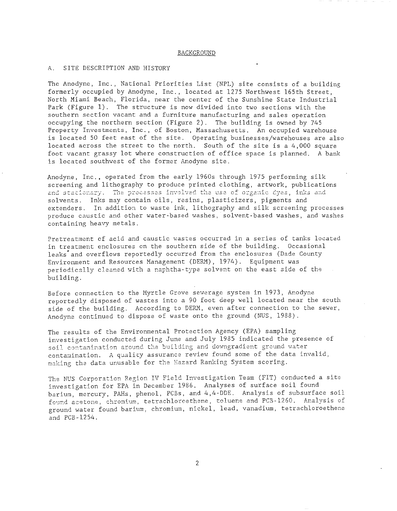### BACKGROUND

### A. SITE DESCRIPTION AND HISTORY

The Anodyne, Inc., National Priorities List (NPL) site consists of a building formerly occupied by Anodyne, Inc., located at 1275 Northwest l65th Street, North Miami Beach, Florida, near the center of the Sunshine State Industrial Park (Figure 1). The structure is now divided into two sections with the southern section vacant and a furniture manufacturing and sales operation occupying the northern section (Figure 2). The building is owned by 745 Property Investments, Inc., of Boston, Massachusetts. An occupied warehouse is located 50 feet east of the site. Operating businesses/warehouses are also located across the street to the north. South of the site is a 4,000 square foot vacant grassy lot where construction of office space is planned. A bank is located southwest of the former Anodyne site.

Anodyne, Inc., operated from the early 1960s through 1975 performing silk screening and lithography to produce printed clothing, artwork, publications and stationary. The processes involved the use of organic dyes, inks and solvents. Inks may contain oils, resins, plasticizers, pigments and extenders. In addition to waste ink, lithography and silk screening processes produce caustic and other water-based washes, solvent-based washes, and washes containing heavy metals.

Pretreatment of acid and caustic wastes occurred in a series of tanks located in treatment enclosures on the southern side of the building. Occasional leaks and overflows reportedly occurred from the enclosures (Dade County Environment and Resources Management (DERM), 1974). Equipment was periodically cleaned with a naphtha-type solvent on the east side of the building.

Before connection to the Myrtle Grove sewerage system in 1973, Anodyne reportedly disposed of wastes into a 90 foot deep well located near the south side of the building. According to DERM, even after connection to the sewer, Anodyne continued to dispose of waste onto the ground (NUS, 1988).

The results of the Environmental Protection Agency (EPA) sampling investigation conducted during June and July 1985 indicated the presence of soil contamination around the building and downgradient ground water contamination. A quality assurance review found some of the data invalid, making the data unusable for the Hazard Ranking System scoring.

The NUS Corporation Region IV Field Investigation Team (FIT) conducted a site investigation for EPA in December 1986. Analyses of surface soil found barium, mercury, PAHs, phenol, PCBs, and 4,4-DDE. Analysis of subsurface soil found acetone, chromium, tetrachloroethene, toluene and PCB-1260. Analysis of ground water found barium, chromium, nickel, lead, vanadium, tetrachloroethene and PCB-1254.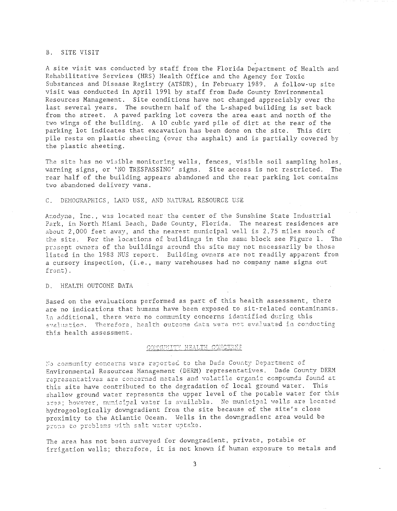### B. SITE VISIT

A site visit was conducted by staff from the Florida Department of Health and Rehabilitative Services (HRS) Health Office and the Agency for Toxic Substances and Disease Registry (ATSDR), in February 1989. A follow-up site visit was conducted in April 1991 by staff from Dade County Environmental Resources Management. Site conditions have not changed appreciably over the last several years. The southern half of the L-shaped building is set back from the street. A paved parking lot covers the area east and north of the two wings of the building. A 10 cubic yard pile of dirt at the rear of the parking lot indicates that excavation has been done on the site. This dirt pile rests on plastic sheeting (over the asphalt) and is partially covered by the plastic sheeting.

The site has no visible monitoring wells, fences, visible soil sampling holes, warning signs, or 'NO TRESPASSING' signs. Site access is not restricted. The rear half of the building appears abandoned and the rear parking lot contains two abandoned delivery vans.

### C. DEMOGRAPHICS, LAND USE, AND NATURAL RESOURCE USE

Anodyne, Inc., was located near the center of the Sunshine State Industrial Park, in North Miami Beach, Dade County, Florida. The nearest residences are about 2,000 feet away, and the nearest municipal well is 2.75 miles south of the site. For the locations of buildings in the same block see Figure 1. The present owners of the buildings around the site may not necessarily be those listed in the 1983 NUS report. Building owners are not readily apparent from a cursory inspection, (i.e., many warehouses had no company name signs out front).

### D. HEALTH OUTCOME DATA

Based on the evaluations performed as part of this health assessment, there are no indications that humans have been exposed to sit-related contaminants. In additional, there were no community concerns identified during this s~J21 u.2\_~iol'l. **'rherefoye J 1"123.1 th OlltC8::1S G?,-L:,S.** T;i'2~2 tl.lJ~ e\72.~1. **tlated i.!.!.. CO:,",-dtlC ting**  this health assessment.

### COMMUNITY HEALTH CONCERNS

 $Y<sub>i</sub>$  community concerns were reported to the Dade County Department of Environmental Resources Management (DERM) representatives. Dade County DERM representatives are concerned metals and volatile organic compounds found at this site have contributed to the degradation of local ground water. This shallow ground water represents the upper level of the potable water for this 3rea; however, municipal water is available. No municipal wells are located hydrogeologically downgradient from the site because of the site's close proximity to the Atlantic Ocean. Wells in the downgradient area would be prone to problems with salt water uptake.

The area has not been surveyed for downgradient, private, potable or irrigation wells; therefore, it is not known if human exposure to metals and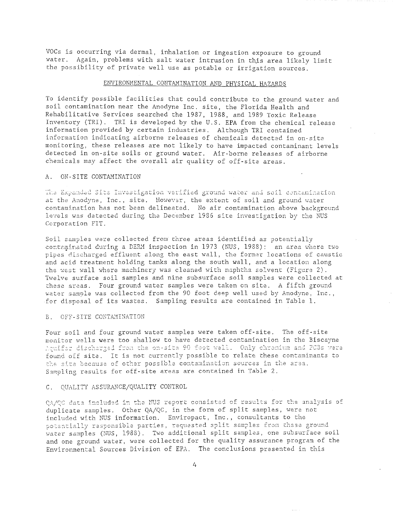VOCs is occurring via dermal, inhalation or ingestion exposure to ground water. Again, problems with salt water intrusion in this area likely limit the possibility of private well use as potable or irrigation sources.

### ENVIRONMENTAL CONTAMINATION AND PHYSICAL HAZARDS

To identify possible facilities that could contribute to the ground water and soil contamination near the Anodyne Inc. site, the Florida Health and Rehabilitative Services searched the 1987, 1988, and 1989 Toxic Release Inventory (TRI). TRI is developed by the U.S. EPA from the chemical release information provided by certain industries. Although TRI contained information indicating airborne releases of chemicals detected in on-site monitoring, these releases are not likely to have impacted contaminant levels detected in on-site soils or ground water. Air-borne releases of airborne chemicals may affect the overall air quality of off-site areas.

#### ON-SITE CONTAMINATION  $A$

The Expanded Site Investigation verified ground water and soil dontamination at the Anodyne, Inc., site. However, the extent of soil and ground water contamination has not been delineated. No air contamination above background levels was detected during the December 1986 site investigation by the NUS Corporation FIT.

Soil samples were collected from three areas identified as potentially contaminated during a DERM inspection in 1973 (NUS, 1988): an area where two pipes discharged effluent along the east wall, the former locations of caustic and acid treatment holding tanks along the south wall, and a location along the west wall where machinery was cleaned with naphtha solvent (Figure 2). Twelve surface soil samples and nine subsurface soil samples were collected at these areas. Four ground water samples were taken on site. A fifth ground water sample was collected from the 90 foot deep well used by Anodyne. Inc., for disposal of its wastes. Sampling results are contained in Table 1.

### B. OFF-SITE CONTAMINATION

Four soil and four ground water samples were taken off-site. The off-site monitor wells were too shallow to have detected contamination in the Biscayne Aquifar discharged from the on-site 90 foot well. Only chromium and PCBs were found off site. It is not currently possible to relate these contaminants to the site because of other possible contamination sources in the area. Sampling results for off-site areas are contained in Table 2.

### C. QUALITY ASSURANCE/QUALITY CONTROL

0A/0C data included in the NUS report consisted of results for the analysis of duplicate samples. Other QA/QC, in the form of split samples, were not included with NUS information. Enviropact, Inc., consultants to the potentially responsible parties, requested split samples from these ground water samples (NUS, 1988). Two additional split samples, one subsurface soil and one ground water, were collected for the quality assurance program of the Environmental Sources Division of EPA. The conclusions presented in this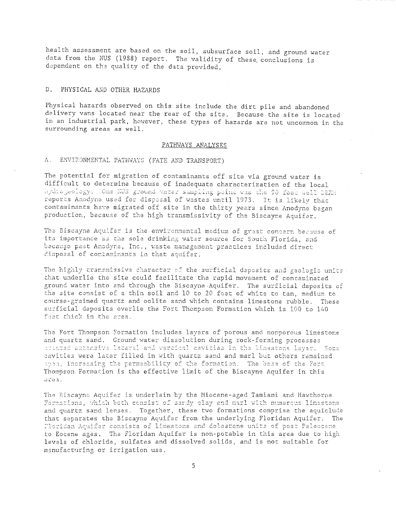health assessment are based on the soil, subsurface soil, and ground water data from the NUS (1988) report. The validity of these conclusions is dependent on the quality of the data provided.

#### $D -$ PHYSICAL AND OTHER HAZARDS

Physical hazards observed on this site include the dirt pile and abandoned delivery vans located near the rear of the site. Because the site is located in an industrial park, however, these types of hazards are not uncommon in the surrounding areas as well.

### PATHWAYS ANALYSES

#### ENVIRONMENTAL PATHWAYS (FATE AND TRANSPORT)  $A_{\perp}$

The potential for migration of contaminants off site via ground water is difficult to determine because of inadequate characterization of the local hydrogeology. One NUS ground vater sampling point was the 90 foot well DERM reports Anodyne used for disposal of wastes until 1973. It is likely that contaminants have migrated off site in the thirty years since Anodyne began production, because of the high transmissivity of the Biscayne Aquifer.

The Biscayne Aquifer is the environmental medium of great concern because of its importance as the sole drinking water source for South Florida, and because past Anodyne, Inc., waste management practices included direct disposal of contaminants in that aquifer.

The highly transmissive character of the surficial deposits and geologic units that underlie the site could facilitate the rapid movement of contaminated ground water into and through the Biscayne Aquifer. The surficial deposits of the site consist of a thin soil and 10 to 20 feet of white to tan, medium to course-grained quartz and oolite sand which contains limestone rubble. These surficial deposits overlie the Fort Thompson Formation which is 100 to 140 feet thick in the area.

The Fort Thompson Formation includes layers of porous and nonporous limestone and quartz sand. Ground water dissolution during rock-forming processes prested extensive lateral and vertical cavicies in the limestone layer. Some cavities were later filled in with quartz sand and marl but others remained open, increasing the permeability of the formation. The base of the Fort Thompson Formation is the effective limit of the Biscayne Aquifer in this area.

The Biscayne Aquifer is underlain by the Miocene-aged Tamiami and Hawthorne Formations, which both consist of sandy clay and marl with numerous limestone and quartz sand lenses. Together, these two formations comprise the aquiclude that separates the Biscayne Aquifer from the underlying Floridan Aquifer. The Floridan Aquifar consists of limestone and dolostone units of post Paleocene to Eocene ages. The Floridan Aquifer is non-potable in this area due to high levels of chloride, sulfates and dissolved solids, and is not suitable for manufacturing or irrigation use.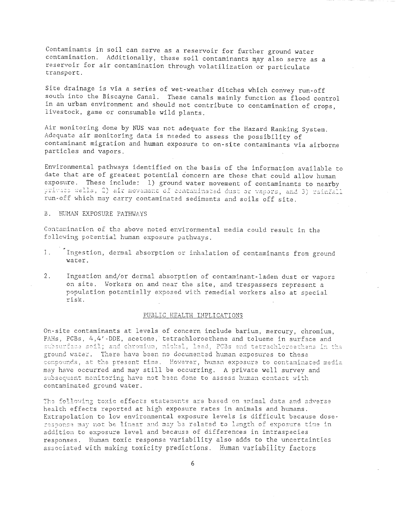Contaminants in soil can serve as a reservoir for further ground water contamination. Additionally, these soil contaminants may also serve as a reservoir for air contamination through volatilization or particulate transport.

Site drainage is via a series of wet-weather ditches which convey run-off south into the Biscayne Canal. These canals mainly function as flood control in an urban environment and should not contribute to contamination of crops, livestock, game or consumable wild plants.

Air monitoring done by NUS was not adequate for the Hazard Ranking System. Adequate air monitoring data is needed to assess the possibility of contaminant migration and human exposure to on-site contaminants via airborne particles and vapors.

Environmental pathways identified on the basis of the information available to date that are of greatest potential concern are those that could allow human exposure. These include: 1) ground water movement of contaminants to nearby private wells, 2) air movement of contaminated dust or vapors, and 3) rainfall run-off which may carry contaminated sediments and soils off site.

### B. HUMAN EXPOSURE PATHWAYS

Contamination of the above noted environmental media could result in the following potential human exposure pathways.

- $1.$ Ingestion, dermal absorption or inhalation of contaminants from ground water.
- Ingestion and/or dermal absorption of contaminant-laden dust or vapors  $2.$ on site. Workers on and near the site, and trespassers represent a population potentially exposed with remedial workers also at special risk.

### PUBLIC HEALTH IMPLICATIONS

On-site contaminants at levels of concern include barium, mercury, chromium, PAHs, PCBs, 4,4'-DDE, acetone, tetrachloroethene and toluene in surface and subsurface soil; and chromium, nickel, lead, PCBs and tetrachloroethene in the ground water. There have been no documented human exposures to these compounds, at the present time. However, human exposure to contaminated media may have occurred and may still be occurring. A private well survey and subsequent monitoring have not been done to assess human contact with contaminated ground water.

The following toxic effects statements are based on animal data and adverse health effects reported at high exposure rates in animals and humans. Extrapolation to low environmental exposure levels is difficult because doseresponse may not be linear and may be related to length of exposure time in addition to exposure level and because of differences in intraspecies responses. Human toxic response variability also adds to the uncertainties associated with making toxicity predictions. Human variability factors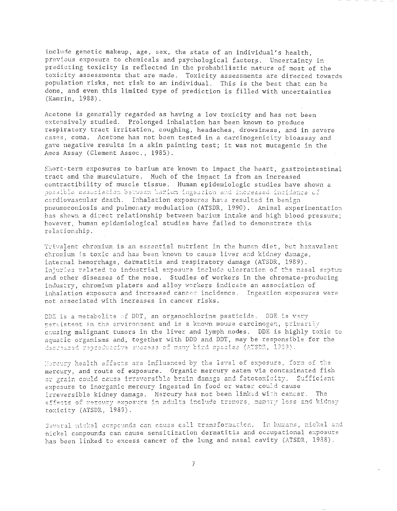include genetic makeup, age, sex, the state of an individual's health. previous exposure to chemicals and psychological factors. Uncertainty in predicting toxicity is reflected in the probabilistic nature of most of the toxicity assessments that are made. Toxicity assessments are directed towards population risks, not risk to an individual. This is the best that can be done, and even this limited type of prediction is filled with uncertainties (Kamrin, 1988).

Acetone is generally regarded as having a low toxicity and has not been extensively studied. Prolonged inhalation has been known to produce respiratory tract irritation, coughing, headaches, drowsiness, and in severe cases, coma. Acetone has not been tested in a carcinogenicity bioassay and gave negative results in a skin painting test; it was not mutagenic in the Ames Assay (Clement Assoc., 1985).

Short-term exposures to barium are known to impact the heart, gastrointestinal tract and the musculature. Much of the impact is from an increased contractibility of muscle tissue. Human epidemiologic studies have shown a possible association between barium ingescion and increased incidence of cardiovascular death. Inhalation exposures have resulted in benign pneumoconiosis and pulmonary modulation (ATSDR, 1990). Animal experimentation has shown a direct relationship between barium intake and high blood pressure; however, human epidemiological studies have failed to demonstrate this relationship.

Trivalent chromium is an essential nutrient in the human diet, but hexavalent chromium is toxic and has been known to cause liver and kidney damage, internal hemorrhage, dermatitis and respiratory damage (ATSDR, 1989). Injuries related to industrial exposure include ulceration of the nasal septum and other diseases of the nose. Studies of workers in the chromate-producing industry, chromium platers and alloy workers indicate an association of inhalation exposure and increased cancer incidence. Ingestion exposures were not associated with increases in cancer risks.

DDE is a metabolita of DDT, an organochlorine pesticide. DDE is very nersistent in the environment and is a known mouse carcinogen, primarily causing malignant tumors in the liver and lymph nodes. DDE is highly toxic to aquatic organisms and, together with DDD and DDT, may be responsible for the dscreased reproductive success of many bird species (ATSDR, 1939).

Hercury health effects are influenced by the level of exposure, form of the mercury, and route of exposure. Organic mercury eaten via contaminated fish or grain could cause irreversible brain damage and fetotoxicity. Sufficient exposure to inorganic mercury ingested in food or water could cause irreversible kidney damage. Mercury has not been linked with cancer. The effects of mercury exposure in adults include tremors, memory loss and kidney toxicity (ATSDR, 1989).

Several nickel compounds can cause cell transformation. In humans, nickel and nickel compounds can cause sensitization dermatitis and occupational exposure has been linked to excess cancer of the lung and nasal cavity (ATSDR, 1938).

 $\overline{7}$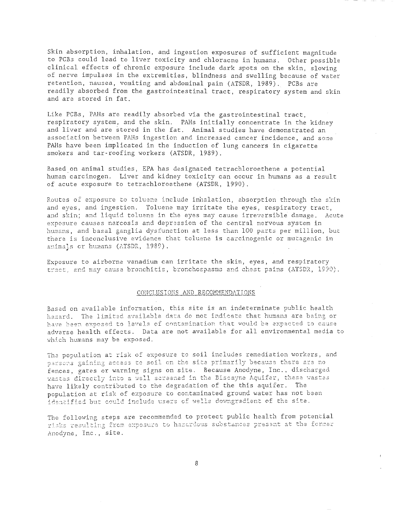Skin absorption, inhalation, and ingestion exposures of sufficient magnitude to PCBs could lead to liver toxicity and chloracne in humans. Other possible clinical effects of chronic exposure include dark spots on the skin, slowing of nerve impulses in the extremities, blindness and swelling because of water retention, nausea, vomiting and abdominal pain (ATSDR, 1989). PCBs are readily absorbed from the gastrointestinal tract, respiratory system and skin and are stored in fat.

Like PCBs, PAHs are readily absorbed via the gastrointestinal tract, respiratory system, and the skin. PAHs initially concentrate in the kidney and liver and are stored in the fat. Animal studies have demonstrated an association between PAHs ingestion and increased cancer incidence, and some PAHs have been implicated in the induction of lung cancers in cigarette smokers and tar-roofing workers (ATSDR, 1989).

Based.on animal studies, EPA has designated tetrachloroethene a potential human carcinogen. Liver and kidney toxicity can occur in humans as a result of acute exposure to tetrachloroethene (ATSDR, 1990).

Routes of exposure to toluene include inhalation, absorption through the skin and eyes, and ingestion. Toluene may irritate the eyes, respiratory tract, and skin; and liquid toluene in the eyes may cause irreversible damage. Acute exposure causes narcosis and depression of the central nervous syscem in humans, and basal ganglia dysfunction at less than 100 parts per million, but there is inconclusive evidence that toluene is carcinogenic or mutagenic in animals or humans (ATSDR, 1989).

Exposure to airborne vanadium can irritate the skin, eyes, and respiratory tract, and may cause bronchitis, bronchospasms and chest pains (ATSDR, 1990).

### CONCLUSIONS AND RECOMMENDATIONS

Based on available information, this site is an indeterminate public health hazard. The limited available data do not indicate that humans are being or have been exposed to levels of contamination that would be expected to cause adverse health effects. Data are not available for all environmental media to which humans may be exposed.

The population at risk of exposure to soil includes remediation workers, and persons gaining access to soil on the site primarily because there are no fences, gates or warning signs on site. Because Anodyne, Inc., discharged wastes directly into a well screened in the Biscayne Aquifer, these wastes have likely contributed to the degradation of the this aquifer. The population at risk of exposure to contaminated ground water has not been identified but could include users of wells downgradient of the site.

The following steps are recommended to protect public health from potential risks resulting from exposure to hazardous substances present at the former Anodyne, Inc., site.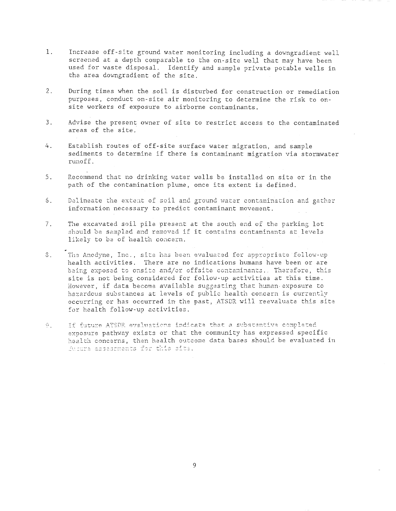- 1. Increase off-site ground water monitoring including a downgradient well screened at a depth comparable to the on-site welJ that nay have been used for waste disposal. Identify and sample private potable wells in the area downgradient of the site.
- 2. During times when the soil is disturbed for construction or remediation purposes, conduct on-site air monitoring to determine the risk to onsite workers of exposure to airborne contaminants.
- 3. Advise the present owner of site to restrict access to the contaminated areas of the site.
- 4. Establish routes of off-site surface water migration, and sample sediments to determine if there is contaminant migration via stormwater runoff.
- 5. Recommend that no drinking water wells be installed on site or in the path of the contamination plume, once its extent is defined.
- 6. Delineate the extent of soil and ground water contamination and gather information necessary to predict contaminant movement.
- 7. The excavated soil pile present at the south end of the parking lot should be sampled and removed if it contains contaminants at levels likely to be of health concern.
- 3. The Anodyne, Inc., site has been evaluated for appropriate follow-up health activities. There are no indications humans have been or are being exposed to onsite and/or offsite contaminants. Therefore, this site is not being considered for follow-up activities at this time. However, if data become available suggesting that human exposure to hazardous substances at levels of public health concern is currently occurring or has occurred in the past, ATSDR will reevaluate this site for health follow-up activities.
- If future ATSDR evaluations indicate that a substantive completed  $9<sub>1</sub>$ exposure pathway exists or that the community has expressed specific health concerns, then health outcome data bases should be evaluated in fucure assessments for this site.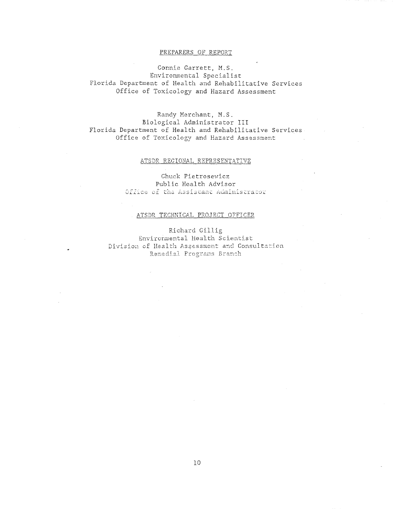### PREPARERS OF REPORT

Connie Garrett, M.S. Environmental Specialist Florida Department of Health and Rehabilitative Services Office of Toxicology and Hazard Assessment

Randy Merchant, M.S. Biological Administrator III Florida Department of Health and Rehabilitative Services. Office of Toxicology and Hazard Assessment

### ATSDR REGIONAL REPRESENTATIVE

Chuck Pietrosewicz Public Health Advisor Office of the Assistant Administrator

### ATSDR TECHNICAL PROJECT OFFICER

Richard Gillig Environmental Health Scientist Division of Health Assessment and Consultation Remedial Programs Branch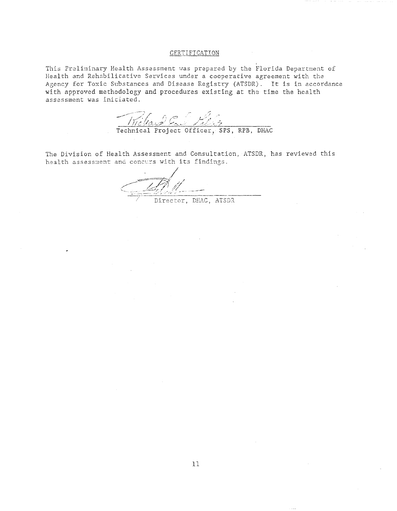### CERTIFICATION

This Preliminary Health Assessment was prepared by the Florida Department of Health and Rehabilitative Services under a cooperative agreement with the Agency for Toxic Substances and Disease Registry (ATSDR). It is in accordance with approved methodology and procedures existing at the time the health assessment was initiated.

The law Committee of the Sea of the Committee of the Committee of the SPS, RPB, DHAC

The Division of Health Assessment and Consultation, ATSDR, has reviewed this health assessment and concurs with its findings.

Director, DHAC, ATSDR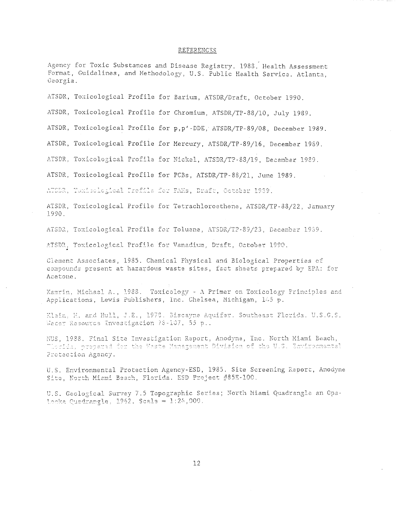### REFERENCES

Agency for Toxic Substances and Disease Registry. 1988. Health Assessment Format, Guidelines, and Methodology, U.S. Public Health Service. Atlanta, Georgia.

ATSDR, Toxicological Profile for Barium, ATSDR/Draft, October 1990.

ATSDR, Toxicological Profile for Chromium, ATSDR/TP-88/10, July 1989.

ATSDR, Toxicological Profile for p, p'-DDE, ATSDR/TP-89/08, December 1989.

ATSDR, Toxicological Profile for Mercury, ATSDR/TP-89/16, December 1989.

ATSDR, Toxicological Profile for Nickel, ATSDR/TP-83/19, December 1989.

ATSDR, Toxicological Profile for PCBs, ATSDR/TP-88/21, June 1989.

ATODR, Toxicological Profile for PAHs, Draft, October 1939.

ATSDR, Toxicological Profile for Tetrachloroethene, ATSDR/TP-83/22, January 1990.

ATSDR, Toxicological Profile for Toluene, ATSDR/TP-89/23, December 1989.

ATSDR, Toxicological Profile for Vanadium, Draft, October 1990.

Clement Associates, 1985. Chemical Physical and Biological Properties of compounds present at hazardous waste sites, fact sheets prepared by EPA: for Acatone.

Kamrin, Michael A., 1988. Toxicology - A Primer on Toxicology Principles and Applications, Lewis Publishers, Inc. Chelsea, Michigan, 145 p.

Klain, H. and Hull, J.E., 1978. Biscayne Aquifer. Southeast Florida. U.S.G.S. Water Resource Investigation 78-107, 55 p..

NUS, 1938. Final Site Investigation Report, Anodyne, Inc. North Miami Beach, Thorida, prepared for the Maste Management Division of the U.S. Environmental Protection Agency.

U.S. Environmental Protection Agency-ESD, 1985. Site Screening Report, Anodyne Site, North Miami Beach, Florida. ESD Project #85E-100.

U.S. Geological Survey 7.5 Topographic Series; North Miami Quadrangle an Opa-Locka Quadrangle, 1962. Scale =  $1:24,000$ .

 $12$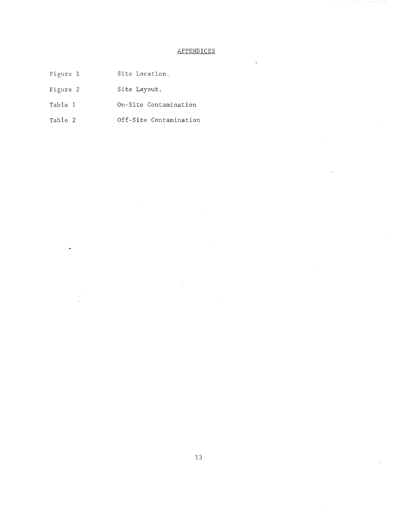### APPENDICES

- Figure 1 Site Location.
- Figure 2 Site Layout.
- Table 1 On-Site Contamination
- Table 2 Off-Site Contamination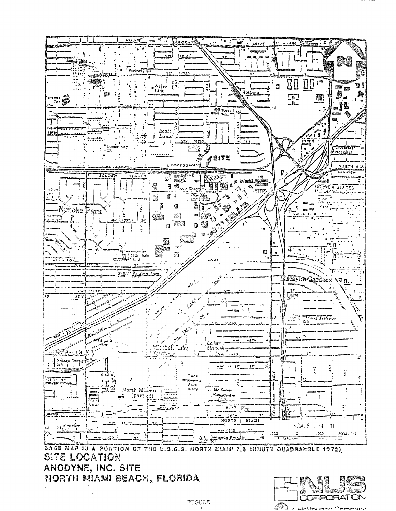

SITE LOCATION ANODYNE, INC. SITE NORTH MIAMI BEACH, FLORIDA

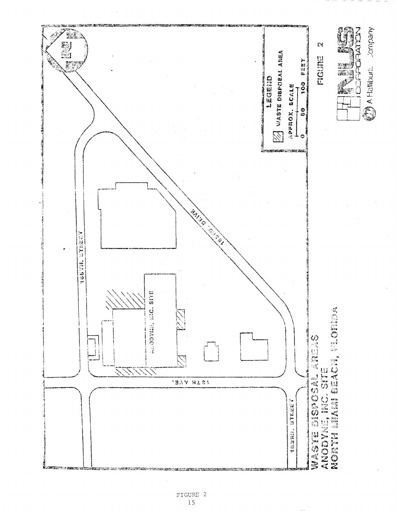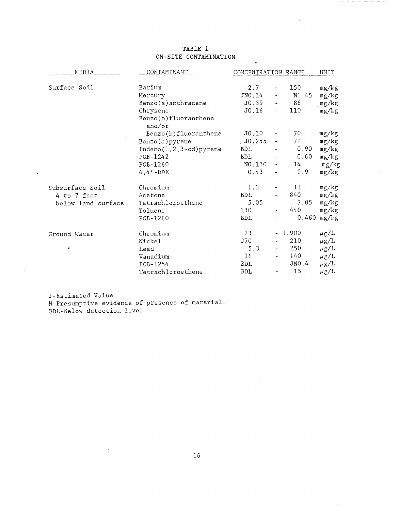### **TABLE 1 ON-SITE CONTAMINATION**

| MEDIA              | CONTAMINANT                    | CONCENTRATION RANGE | UNIT                            |                 |           |
|--------------------|--------------------------------|---------------------|---------------------------------|-----------------|-----------|
|                    |                                |                     |                                 |                 |           |
| Surface Soil       | Barium                         | 2.7                 | $\overline{\phantom{a}}$        | 150             | mg/kg     |
|                    | Mercury                        | JNO.14              |                                 | N1.45           | mg/kg     |
|                    | Benzo(a) anthracene            | J0.39               | $\blacksquare$                  | 86              | mg/kg     |
|                    | Chrysene                       | J0.16               | $\qquad \qquad \blacksquare$    | 110             | mg/kg     |
|                    | Benzo(b)fluoranthene<br>and/or |                     |                                 |                 |           |
|                    | Benzo(k)fluoranthene           | J0.10               | $\overline{\phantom{a}}$        | 70 <sub>1</sub> | mg/kg     |
|                    | Benzo(a)pyrene                 | J0.255              | $\overline{\phantom{a}}$        | 71              | mg/kg     |
|                    | $Indeno(1,2,3-cd)pyrene$       | <b>BDL</b>          |                                 | 0.90            | mg/kg     |
|                    | PCB-1242                       | <b>BDL</b>          |                                 | 0.60            | mg/kg     |
|                    | PCB-1260                       | NO.130              | $\frac{1}{2}$ and $\frac{1}{2}$ | 14              | mg/kg     |
|                    | $4, 4'$ -DDE                   | 0.43                |                                 | 2.9             | mg/kg     |
| Subsurface Soil    | Chromium                       | 1.3                 |                                 | 11              | mg/kg     |
| 4 to 7 feet        | Acetone                        | <b>BDL</b>          | $\overline{\phantom{a}}$        | 840             | mg/kg     |
| below land surface | Tetrachloroethene              | 5.05                |                                 | 7.05            | mg/kg     |
|                    | Toluene                        | $130 -$             | $\qquad \qquad \blacksquare$    | 440             | mg/kg     |
|                    | PCB-1260                       | <b>BDL</b>          | $\overline{\phantom{0}}$        | 0.460           | mg/kg     |
| Ground Water       | Chromium                       | 23                  |                                 | $-1,900$        | $\mu$ g/L |
|                    | Nickel                         | J70                 |                                 | 210             | $\mu$ g/L |
|                    | Lead                           | 5.3                 |                                 | 250             | $\mu$ g/L |
|                    | Vanadium                       | 16                  | $\overline{\phantom{a}}$        | 140             | $\mu$ g/L |
|                    | PCB-1254                       | BDL                 |                                 | JNO.4           | $\mu$ g/L |
|                    | Tetrachloroethene              | BDL                 | $\tilde{}$                      | 15              | $\mu$ g/L |

J-Estimated Value. N-Presumptive evidence of presence of material. BDL-Below detection level.